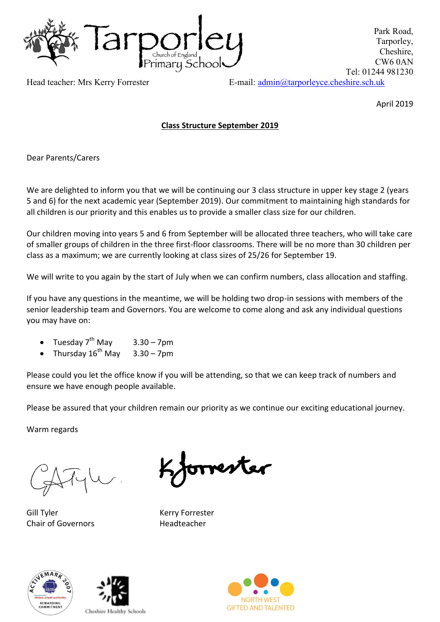

Park Road, Tarporley, Cheshire, CW6 0AN Tel: 01244 981230

Head teacher: Mrs Kerry Forrester E-mail:  $\underline{admin@tarporleyce. cheshire.sch.uk}$ 

April 2019

# **Class Structure September 2019**

Dear Parents/Carers

We are delighted to inform you that we will be continuing our 3 class structure in upper key stage 2 (years 5 and 6) for the next academic year (September 2019). Our commitment to maintaining high standards for all children is our priority and this enables us to provide a smaller class size for our children.

Our children moving into years 5 and 6 from September will be allocated three teachers, who will take care of smaller groups of children in the three first-floor classrooms. There will be no more than 30 children per class as a maximum; we are currently looking at class sizes of 25/26 for September 19.

We will write to you again by the start of July when we can confirm numbers, class allocation and staffing.

If you have any questions in the meantime, we will be holding two drop-in sessions with members of the senior leadership team and Governors. You are welcome to come along and ask any individual questions you may have on:

- Tuesday  $7^{th}$  May  $3.30 7$ pm
- Thursday  $16^{th}$  May  $3.30 7$ pm

Please could you let the office know if you will be attending, so that we can keep track of numbers and ensure we have enough people available.

Please be assured that your children remain our priority as we continue our exciting educational journey.

Warm regards

Gill Tyler **Kerry Forrester** Chair of Governors **Headteacher** 

orrester